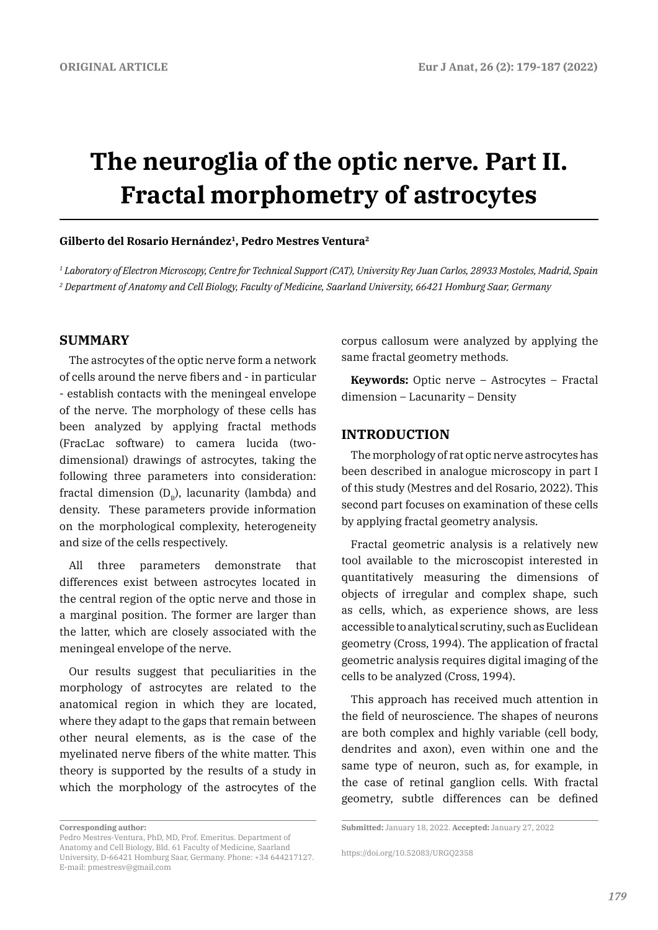# **The neuroglia of the optic nerve. Part II. Fractal morphometry of astrocytes**

#### **Gilberto del Rosario Hernández1, Pedro Mestres Ventura2**

*1 Laboratory of Electron Microscopy, Centre for Technical Support (CAT), University Rey Juan Carlos, 28933 Mostoles, Madrid, Spain 2 Department of Anatomy and Cell Biology, Faculty of Medicine, Saarland University, 66421 Homburg Saar, Germany*

## **SUMMARY**

The astrocytes of the optic nerve form a network of cells around the nerve fibers and - in particular - establish contacts with the meningeal envelope of the nerve. The morphology of these cells has been analyzed by applying fractal methods (FracLac software) to camera lucida (twodimensional) drawings of astrocytes, taking the following three parameters into consideration: fractal dimension  $(D_p)$ , lacunarity (lambda) and density. These parameters provide information on the morphological complexity, heterogeneity and size of the cells respectively.

All three parameters demonstrate that differences exist between astrocytes located in the central region of the optic nerve and those in a marginal position. The former are larger than the latter, which are closely associated with the meningeal envelope of the nerve.

Our results suggest that peculiarities in the morphology of astrocytes are related to the anatomical region in which they are located, where they adapt to the gaps that remain between other neural elements, as is the case of the myelinated nerve fibers of the white matter. This theory is supported by the results of a study in which the morphology of the astrocytes of the

corpus callosum were analyzed by applying the same fractal geometry methods.

**Keywords:** Optic nerve – Astrocytes – Fractal dimension – Lacunarity – Density

## **INTRODUCTION**

The morphology of rat optic nerve astrocytes has been described in analogue microscopy in part I of this study (Mestres and del Rosario, 2022). This second part focuses on examination of these cells by applying fractal geometry analysis.

Fractal geometric analysis is a relatively new tool available to the microscopist interested in quantitatively measuring the dimensions of objects of irregular and complex shape, such as cells, which, as experience shows, are less accessible to analytical scrutiny, such as Euclidean geometry (Cross, 1994). The application of fractal geometric analysis requires digital imaging of the cells to be analyzed (Cross, 1994).

This approach has received much attention in the field of neuroscience. The shapes of neurons are both complex and highly variable (cell body, dendrites and axon), even within one and the same type of neuron, such as, for example, in the case of retinal ganglion cells. With fractal geometry, subtle differences can be defined

**Corresponding author:** 

Pedro Mestres-Ventura, PhD, MD, Prof. Emeritus. Department of Anatomy and Cell Biology, Bld. 61 Faculty of Medicine, Saarland University, D-66421 Homburg Saar, Germany. Phone: +34 644217127. E-mail: pmestresv@gmail.com

**Submitted:** January 18, 2022. **Accepted:** January 27, 2022

https://doi.org/10.52083/URGQ2358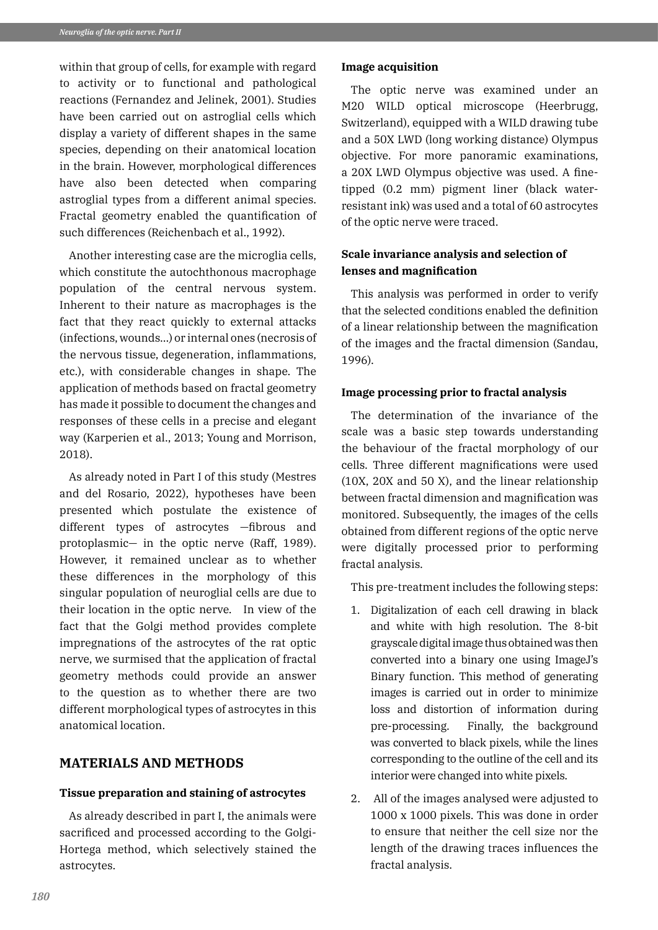within that group of cells, for example with regard to activity or to functional and pathological reactions (Fernandez and Jelinek, 2001). Studies have been carried out on astroglial cells which display a variety of different shapes in the same species, depending on their anatomical location in the brain. However, morphological differences have also been detected when comparing astroglial types from a different animal species. Fractal geometry enabled the quantification of such differences (Reichenbach et al., 1992).

Another interesting case are the microglia cells, which constitute the autochthonous macrophage population of the central nervous system. Inherent to their nature as macrophages is the fact that they react quickly to external attacks (infections, wounds...) or internal ones (necrosis of the nervous tissue, degeneration, inflammations, etc.), with considerable changes in shape. The application of methods based on fractal geometry has made it possible to document the changes and responses of these cells in a precise and elegant way (Karperien et al., 2013; Young and Morrison, 2018).

As already noted in Part I of this study (Mestres and del Rosario, 2022), hypotheses have been presented which postulate the existence of different types of astrocytes —fibrous and protoplasmic— in the optic nerve (Raff, 1989). However, it remained unclear as to whether these differences in the morphology of this singular population of neuroglial cells are due to their location in the optic nerve. In view of the fact that the Golgi method provides complete impregnations of the astrocytes of the rat optic nerve, we surmised that the application of fractal geometry methods could provide an answer to the question as to whether there are two different morphological types of astrocytes in this anatomical location.

# **MATERIALS AND METHODS**

## **Tissue preparation and staining of astrocytes**

As already described in part I, the animals were sacrificed and processed according to the Golgi-Hortega method, which selectively stained the astrocytes.

#### **Image acquisition**

The optic nerve was examined under an M20 WILD optical microscope (Heerbrugg, Switzerland), equipped with a WILD drawing tube and a 50X LWD (long working distance) Olympus objective. For more panoramic examinations, a 20X LWD Olympus objective was used. A finetipped (0.2 mm) pigment liner (black waterresistant ink) was used and a total of 60 astrocytes of the optic nerve were traced.

## **Scale invariance analysis and selection of lenses and magnification**

This analysis was performed in order to verify that the selected conditions enabled the definition of a linear relationship between the magnification of the images and the fractal dimension (Sandau, 1996).

## **Image processing prior to fractal analysis**

The determination of the invariance of the scale was a basic step towards understanding the behaviour of the fractal morphology of our cells. Three different magnifications were used (10X, 20X and 50 X), and the linear relationship between fractal dimension and magnification was monitored. Subsequently, the images of the cells obtained from different regions of the optic nerve were digitally processed prior to performing fractal analysis.

This pre-treatment includes the following steps:

- 1. Digitalization of each cell drawing in black and white with high resolution. The 8-bit grayscale digital image thus obtained was then converted into a binary one using ImageJ's Binary function. This method of generating images is carried out in order to minimize loss and distortion of information during pre-processing. Finally, the background was converted to black pixels, while the lines corresponding to the outline of the cell and its interior were changed into white pixels.
- 2. All of the images analysed were adjusted to 1000 x 1000 pixels. This was done in order to ensure that neither the cell size nor the length of the drawing traces influences the fractal analysis.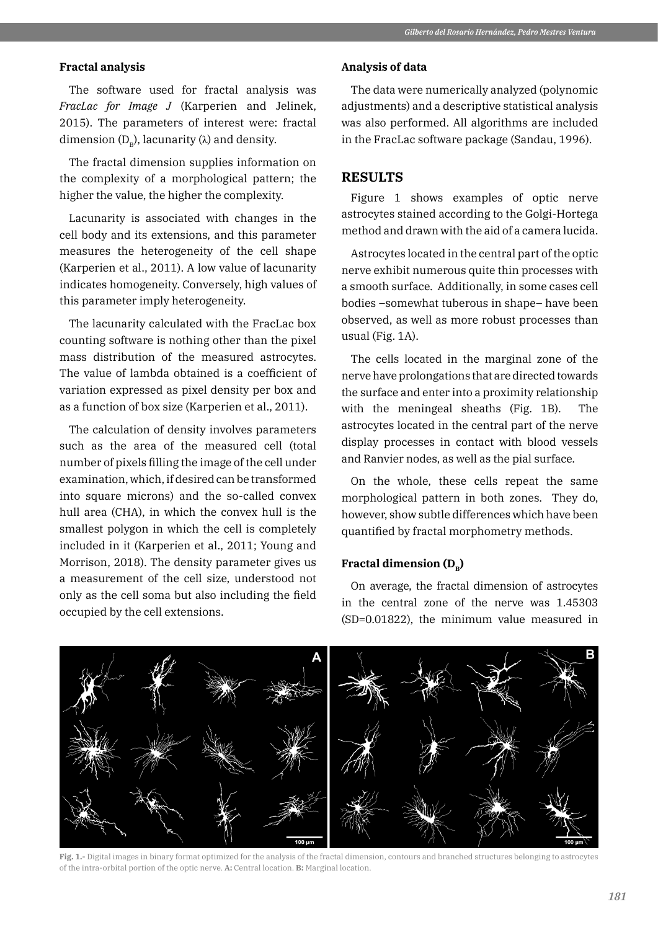#### **Fractal analysis**

The software used for fractal analysis was *FracLac for Image J* (Karperien and Jelinek, 2015). The parameters of interest were: fractal dimension  $(D_p)$ , lacunarity ( $\lambda$ ) and density.

The fractal dimension supplies information on the complexity of a morphological pattern; the higher the value, the higher the complexity.

Lacunarity is associated with changes in the cell body and its extensions, and this parameter measures the heterogeneity of the cell shape (Karperien et al., 2011). A low value of lacunarity indicates homogeneity. Conversely, high values of this parameter imply heterogeneity.

The lacunarity calculated with the FracLac box counting software is nothing other than the pixel mass distribution of the measured astrocytes. The value of lambda obtained is a coefficient of variation expressed as pixel density per box and as a function of box size (Karperien et al., 2011).

The calculation of density involves parameters such as the area of the measured cell (total number of pixels filling the image of the cell under examination, which, if desired can be transformed into square microns) and the so-called convex hull area (CHA), in which the convex hull is the smallest polygon in which the cell is completely included in it (Karperien et al., 2011; Young and Morrison, 2018). The density parameter gives us a measurement of the cell size, understood not only as the cell soma but also including the field occupied by the cell extensions.

#### **Analysis of data**

The data were numerically analyzed (polynomic adjustments) and a descriptive statistical analysis was also performed. All algorithms are included in the FracLac software package (Sandau, 1996).

## **RESULTS**

Figure 1 shows examples of optic nerve astrocytes stained according to the Golgi-Hortega method and drawn with the aid of a camera lucida.

Astrocytes located in the central part of the optic nerve exhibit numerous quite thin processes with a smooth surface. Additionally, in some cases cell bodies –somewhat tuberous in shape– have been observed, as well as more robust processes than usual (Fig. 1A).

The cells located in the marginal zone of the nerve have prolongations that are directed towards the surface and enter into a proximity relationship with the meningeal sheaths (Fig. 1B). The astrocytes located in the central part of the nerve display processes in contact with blood vessels and Ranvier nodes, as well as the pial surface.

On the whole, these cells repeat the same morphological pattern in both zones. They do, however, show subtle differences which have been quantified by fractal morphometry methods.

## **Fractal dimension (D<sub>p</sub>)**

On average, the fractal dimension of astrocytes in the central zone of the nerve was 1.45303 (SD=0.01822), the minimum value measured in



**Fig. 1.-** Digital images in binary format optimized for the analysis of the fractal dimension, contours and branched structures belonging to astrocytes of the intra-orbital portion of the optic nerve. **A:** Central location. **B:** Marginal location.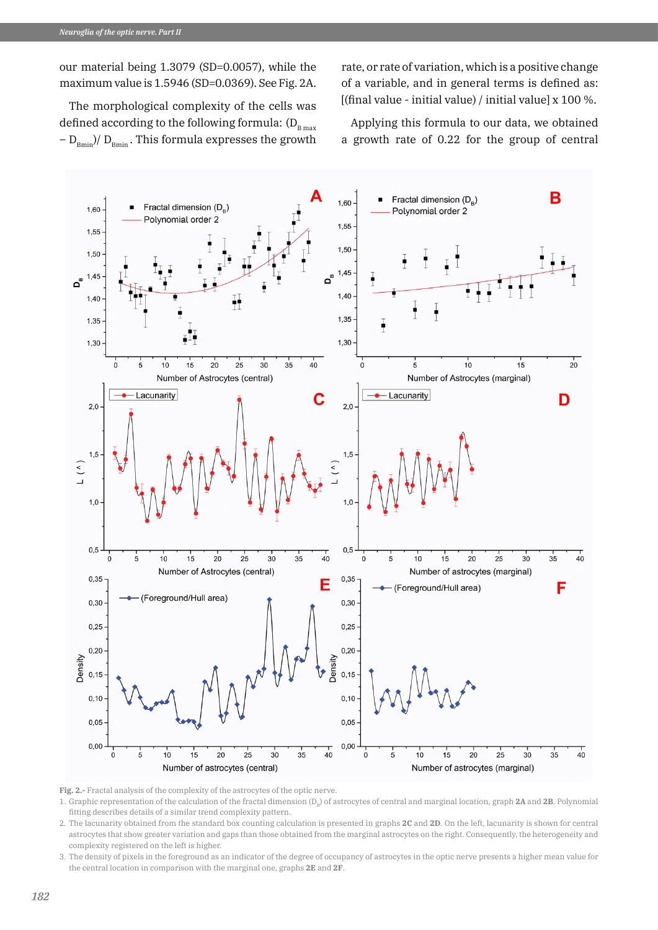our material being 1.3079 (SD=0.0057), while the maximum value is 1.5946 (SD=0.0369). See Fig. 2A.

rate, or rate of variation, which is a positive change of a variable, and in general terms is defined as: [(final value - initial value) / initial value] x 100 %.

The morphological complexity of the cells was defined according to the following formula:  $(D_{B \max})$  $-D_{Bmin}/D_{Bmin}$ . This formula expresses the growth

Applying this formula to our data, we obtained a growth rate of 0.22 for the group of central



**Fig. 2.-** Fractal analysis of the complexity of the astrocytes of the optic nerve.

1. Graphic representation of the calculation of the fractal dimension  $(D<sub>B</sub>)$  of astrocytes of central and marginal location, graph **2A** and **2B**. Polynomial fitting describes details of a similar trend complexity pattern.

2. The lacunarity obtained from the standard box counting calculation is presented in graphs **2C** and **2D**. On the left, lacunarity is shown for central astrocytes that show greater variation and gaps than those obtained from the marginal astrocytes on the right. Consequently, the heterogeneity and complexity registered on the left is higher.

3. The density of pixels in the foreground as an indicator of the degree of occupancy of astrocytes in the optic nerve presents a higher mean value for the central location in comparison with the marginal one, graphs **2E** and **2F**.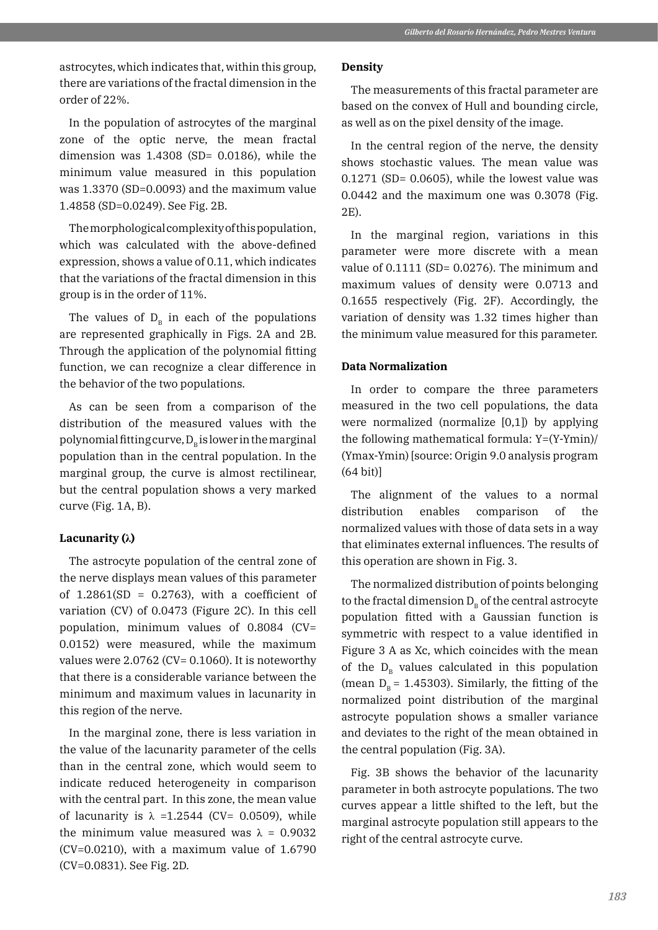astrocytes, which indicates that, within this group, there are variations of the fractal dimension in the order of 22%.

In the population of astrocytes of the marginal zone of the optic nerve, the mean fractal dimension was  $1.4308$  (SD= 0.0186), while the minimum value measured in this population was 1.3370 (SD=0.0093) and the maximum value 1.4858 (SD=0.0249). See Fig. 2B.

The morphological complexity of this population, which was calculated with the above-defined expression, shows a value of 0.11, which indicates that the variations of the fractal dimension in this group is in the order of 11%.

The values of  $D_B$  in each of the populations are represented graphically in Figs. 2A and 2B. Through the application of the polynomial fitting function, we can recognize a clear difference in the behavior of the two populations.

As can be seen from a comparison of the distribution of the measured values with the polynomial fitting curve,  $D<sub>n</sub>$  is lower in the marginal population than in the central population. In the marginal group, the curve is almost rectilinear, but the central population shows a very marked curve (Fig. 1A, B).

#### **Lacunarity (λ)**

The astrocyte population of the central zone of the nerve displays mean values of this parameter of  $1.2861(SD = 0.2763)$ , with a coefficient of variation (CV) of 0.0473 (Figure 2C). In this cell population, minimum values of 0.8084 (CV= 0.0152) were measured, while the maximum values were 2.0762 (CV= 0.1060). It is noteworthy that there is a considerable variance between the minimum and maximum values in lacunarity in this region of the nerve.

In the marginal zone, there is less variation in the value of the lacunarity parameter of the cells than in the central zone, which would seem to indicate reduced heterogeneity in comparison with the central part. In this zone, the mean value of lacunarity is  $\lambda$  =1.2544 (CV= 0.0509), while the minimum value measured was  $\lambda = 0.9032$  $(CV=0.0210)$ , with a maximum value of 1.6790 (CV=0.0831). See Fig. 2D.

#### **Density**

The measurements of this fractal parameter are based on the convex of Hull and bounding circle, as well as on the pixel density of the image.

In the central region of the nerve, the density shows stochastic values. The mean value was  $0.1271$  (SD=  $0.0605$ ), while the lowest value was 0.0442 and the maximum one was 0.3078 (Fig. 2E).

In the marginal region, variations in this parameter were more discrete with a mean value of  $0.1111$  (SD=  $0.0276$ ). The minimum and maximum values of density were 0.0713 and 0.1655 respectively (Fig. 2F). Accordingly, the variation of density was 1.32 times higher than the minimum value measured for this parameter.

## **Data Normalization**

In order to compare the three parameters measured in the two cell populations, the data were normalized (normalize [0,1]) by applying the following mathematical formula: Y=(Y-Ymin)/ (Ymax-Ymin) [source: Origin 9.0 analysis program (64 bit)]

The alignment of the values to a normal distribution enables comparison of the normalized values with those of data sets in a way that eliminates external influences. The results of this operation are shown in Fig. 3.

The normalized distribution of points belonging to the fractal dimension  $D_p$  of the central astrocyte population fitted with a Gaussian function is symmetric with respect to a value identified in Figure 3 A as Xc, which coincides with the mean of the  $D_{\rm B}$  values calculated in this population (mean  $D_p = 1.45303$ ). Similarly, the fitting of the normalized point distribution of the marginal astrocyte population shows a smaller variance and deviates to the right of the mean obtained in the central population (Fig. 3A).

Fig. 3B shows the behavior of the lacunarity parameter in both astrocyte populations. The two curves appear a little shifted to the left, but the marginal astrocyte population still appears to the right of the central astrocyte curve.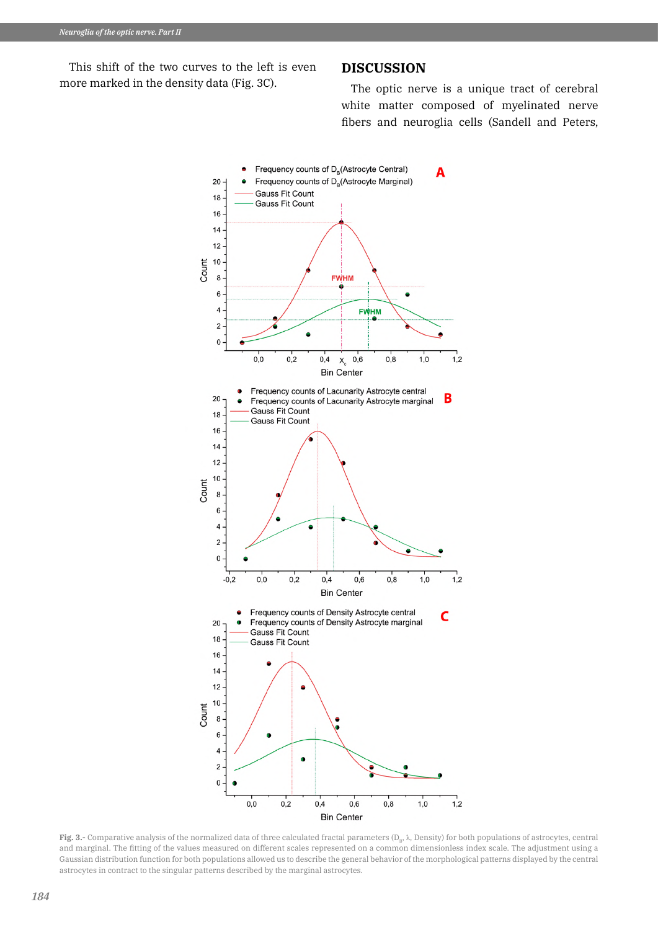This shift of the two curves to the left is even more marked in the density data (Fig. 3C).

## **DISCUSSION**

The optic nerve is a unique tract of cerebral white matter composed of myelinated nerve fibers and neuroglia cells (Sandell and Peters,



**Fig. 3.-** Comparative analysis of the normalized data of three calculated fractal parameters (D<sub>B</sub>, λ, Density) for both populations of astrocytes, central and marginal. The fitting of the values measured on different scales represented on a common dimensionless index scale. The adjustment using a Gaussian distribution function for both populations allowed us to describe the general behavior of the morphological patterns displayed by the central astrocytes in contract to the singular patterns described by the marginal astrocytes.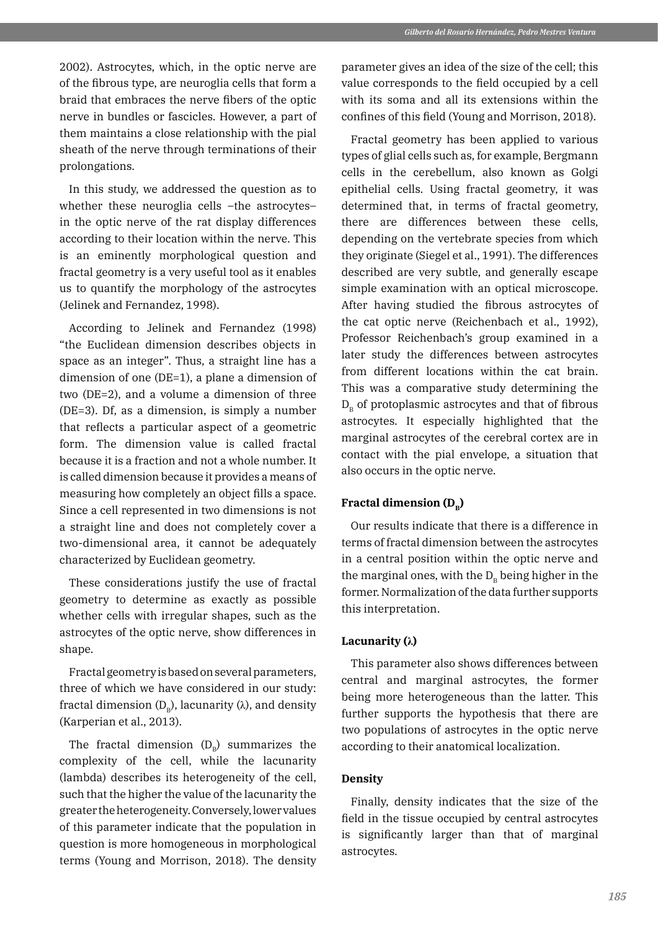2002). Astrocytes, which, in the optic nerve are of the fibrous type, are neuroglia cells that form a braid that embraces the nerve fibers of the optic nerve in bundles or fascicles. However, a part of them maintains a close relationship with the pial sheath of the nerve through terminations of their prolongations.

In this study, we addressed the question as to whether these neuroglia cells –the astrocytes– in the optic nerve of the rat display differences according to their location within the nerve. This is an eminently morphological question and fractal geometry is a very useful tool as it enables us to quantify the morphology of the astrocytes (Jelinek and Fernandez, 1998).

According to Jelinek and Fernandez (1998) "the Euclidean dimension describes objects in space as an integer". Thus, a straight line has a dimension of one (DE=1), a plane a dimension of two (DE=2), and a volume a dimension of three (DE=3). Df, as a dimension, is simply a number that reflects a particular aspect of a geometric form. The dimension value is called fractal because it is a fraction and not a whole number. It is called dimension because it provides a means of measuring how completely an object fills a space. Since a cell represented in two dimensions is not a straight line and does not completely cover a two-dimensional area, it cannot be adequately characterized by Euclidean geometry.

These considerations justify the use of fractal geometry to determine as exactly as possible whether cells with irregular shapes, such as the astrocytes of the optic nerve, show differences in shape.

Fractal geometry is based on several parameters, three of which we have considered in our study: fractal dimension  $(D_p)$ , lacunarity ( $\lambda$ ), and density (Karperian et al., 2013).

The fractal dimension  $(D<sub>p</sub>)$  summarizes the complexity of the cell, while the lacunarity (lambda) describes its heterogeneity of the cell, such that the higher the value of the lacunarity the greater the heterogeneity. Conversely, lower values of this parameter indicate that the population in question is more homogeneous in morphological terms (Young and Morrison, 2018). The density

parameter gives an idea of the size of the cell; this value corresponds to the field occupied by a cell with its soma and all its extensions within the confines of this field (Young and Morrison, 2018).

Fractal geometry has been applied to various types of glial cells such as, for example, Bergmann cells in the cerebellum, also known as Golgi epithelial cells. Using fractal geometry, it was determined that, in terms of fractal geometry, there are differences between these cells, depending on the vertebrate species from which they originate (Siegel et al., 1991). The differences described are very subtle, and generally escape simple examination with an optical microscope. After having studied the fibrous astrocytes of the cat optic nerve (Reichenbach et al., 1992), Professor Reichenbach's group examined in a later study the differences between astrocytes from different locations within the cat brain. This was a comparative study determining the  $D<sub>p</sub>$  of protoplasmic astrocytes and that of fibrous astrocytes. It especially highlighted that the marginal astrocytes of the cerebral cortex are in contact with the pial envelope, a situation that also occurs in the optic nerve.

## **Fractal dimension (D<sub>p</sub>)**

Our results indicate that there is a difference in terms of fractal dimension between the astrocytes in a central position within the optic nerve and the marginal ones, with the  $D<sub>p</sub>$  being higher in the former. Normalization of the data further supports this interpretation.

#### **Lacunarity (λ)**

This parameter also shows differences between central and marginal astrocytes, the former being more heterogeneous than the latter. This further supports the hypothesis that there are two populations of astrocytes in the optic nerve according to their anatomical localization.

## **Density**

Finally, density indicates that the size of the field in the tissue occupied by central astrocytes is significantly larger than that of marginal astrocytes.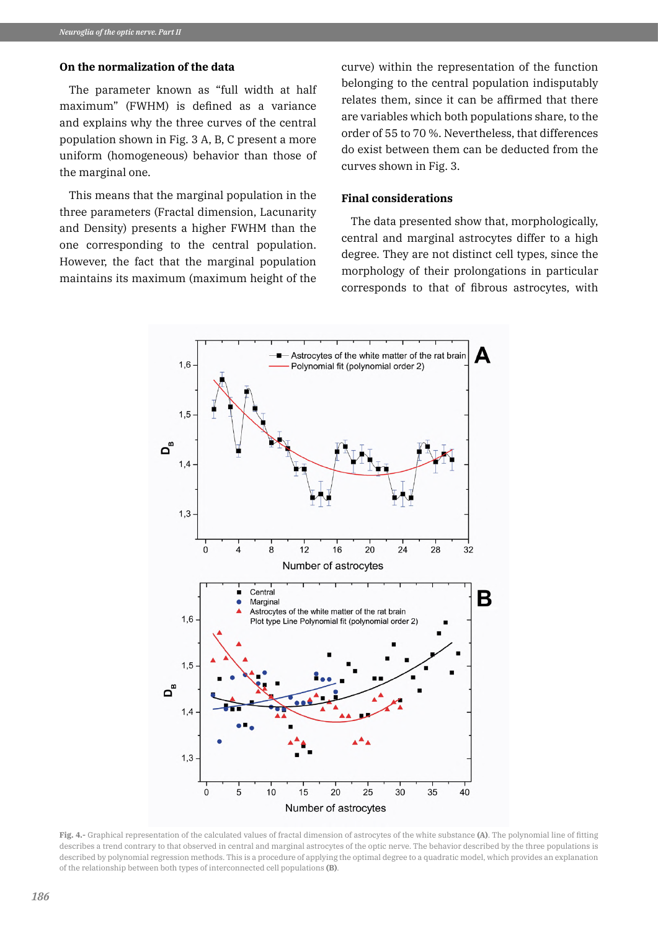## **On the normalization of the data**

The parameter known as "full width at half maximum" (FWHM) is defined as a variance and explains why the three curves of the central population shown in Fig. 3 A, B, C present a more uniform (homogeneous) behavior than those of the marginal one.

This means that the marginal population in the three parameters (Fractal dimension, Lacunarity and Density) presents a higher FWHM than the one corresponding to the central population. However, the fact that the marginal population maintains its maximum (maximum height of the curve) within the representation of the function belonging to the central population indisputably relates them, since it can be affirmed that there are variables which both populations share, to the order of 55 to 70 %. Nevertheless, that differences do exist between them can be deducted from the curves shown in Fig. 3.

#### **Final considerations**

The data presented show that, morphologically, central and marginal astrocytes differ to a high degree. They are not distinct cell types, since the morphology of their prolongations in particular corresponds to that of fibrous astrocytes, with



**Fig. 4.-** Graphical representation of the calculated values of fractal dimension of astrocytes of the white substance **(A)**. The polynomial line of fitting describes a trend contrary to that observed in central and marginal astrocytes of the optic nerve. The behavior described by the three populations is described by polynomial regression methods. This is a procedure of applying the optimal degree to a quadratic model, which provides an explanation of the relationship between both types of interconnected cell populations **(B)**.